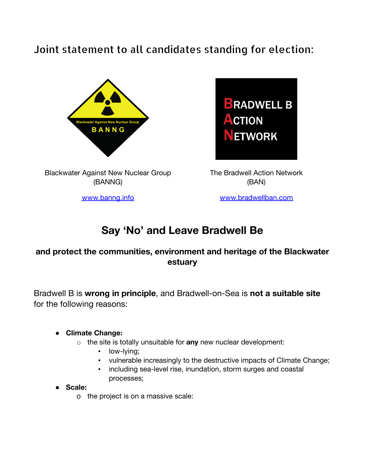## Joint statement to all candidates standing for election:



Blackwater Against New Nuclear Group (BANNG)



The Bradwell Action Network (BAN)

[www.banng.info](http://www.banng.info) [www.bradwellban.com](http://www.bradwellban.com)

# **Say 'No' and Leave Bradwell Be**

### **and protect the communities, environment and heritage of the Blackwater estuary**

Bradwell B is **wrong in principle**, and Bradwell-on-Sea is **not a suitable site** for the following reasons:

#### ● **Climate Change:**

- o the site is totally unsuitable for **any** new nuclear development:
	- **•** low-lying;
	- vulnerable increasingly to the destructive impacts of Climate Change;
	- including sea-level rise, inundation, storm surges and coastal processes;

● **Scale:**

o the project is on a massive scale: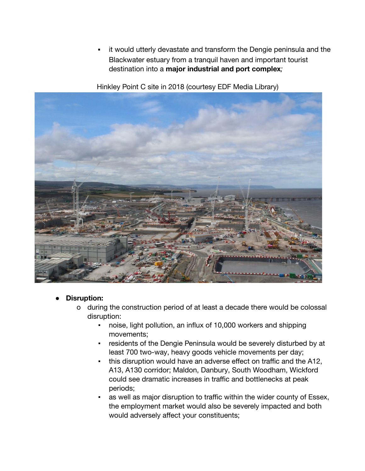▪ it would utterly devastate and transform the Dengie peninsula and the Blackwater estuary from a tranquil haven and important tourist destination into a **major industrial and port complex***;*

Hinkley Point C site in 2018 (courtesy EDF Media Library)



#### **Disruption:**

- o during the construction period of at least a decade there would be colossal disruption:
	- noise, light pollution, an influx of 10,000 workers and shipping movements;
	- residents of the Dengie Peninsula would be severely disturbed by at least 700 two-way, heavy goods vehicle movements per day;
	- this disruption would have an adverse effect on traffic and the A12, A13, A130 corridor; Maldon, Danbury, South Woodham, Wickford could see dramatic increases in traffic and bottlenecks at peak periods;
	- as well as major disruption to traffic within the wider county of Essex, the employment market would also be severely impacted and both would adversely affect your constituents;